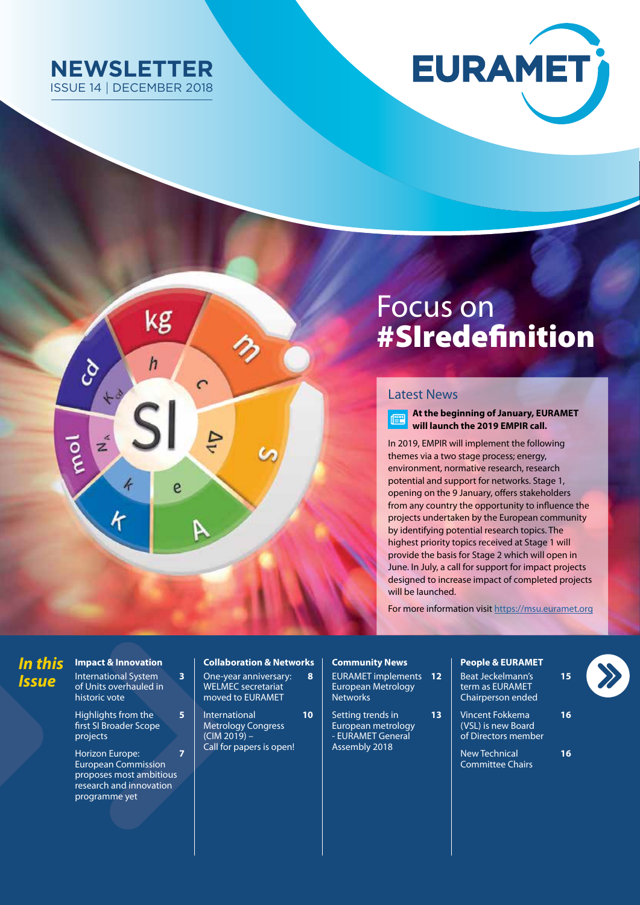





# Focus on #SIredefinition

### Latest News

**At the beginning of January, EURAMET**   $\begin{array}{c}\n\overline{\phantom{0}} \\
\overline{\phantom{0}} \\
\overline{\phantom{0}} \\
\overline{\phantom{0}} \\
\phantom{0} \\
\overline{\phantom{0}} \\
\phantom{0} \\
\phantom{0} \\
\phantom{0} \\
\phantom{0} \\
\phantom{0} \\
\phantom{0} \\
\phantom{0} \\
\phantom{0} \\
\phantom{0} \\
\phantom{0} \\
\phantom{0} \\
\phantom{0} \\
\phantom{0} \\
\phantom{0} \\
\phantom{0} \\
\phantom{0} \\
\phantom{0} \\
\phantom{0} \\
\phantom{0} \\
\phantom{0} \\
\phantom{0} \\
\phantom{0} \\
\$ **will launch the 2019 EMPIR call.**

In 2019, EMPIR will implement the following themes via a two stage process; energy, environment, normative research, research potential and support for networks. Stage 1, opening on the 9 January, offers stakeholders from any country the opportunity to influence the projects undertaken by the European community by identifying potential research topics. The highest priority topics received at Stage 1 will provide the basis for Stage 2 which will open in June. In July, a call for support for impact projects designed to increase impact of completed projects will be launched.

For more information visit<https://msu.euramet.org>

# *In this Issue*

**Impact & Innovation** International System **3** of Units overhauled in

historic vote Highlights from the **5** first SI Broader Scope projects

Horizon Europe: **7** European Commission proposes most ambitious research and innovation programme yet

### **Collaboration & Networks**

One-year anniversary: **8**  WELMEC secretariat moved to EURAMET

International **10** Metrology Congress  $(CIM 2019) -$ Call for papers is open!

### **Community News**

EURAMET implements **12**  European Metrology **Networks** 

Setting trends in **13** European metrology - EURAMET General Assembly 2018

### **People & EURAMET**

Beat Jeckelmann's **15** term as EURAMET Chairperson ended

Vincent Fokkema **16** (VSL) is new Board of Directors member

New Technical **16** Committee Chairs

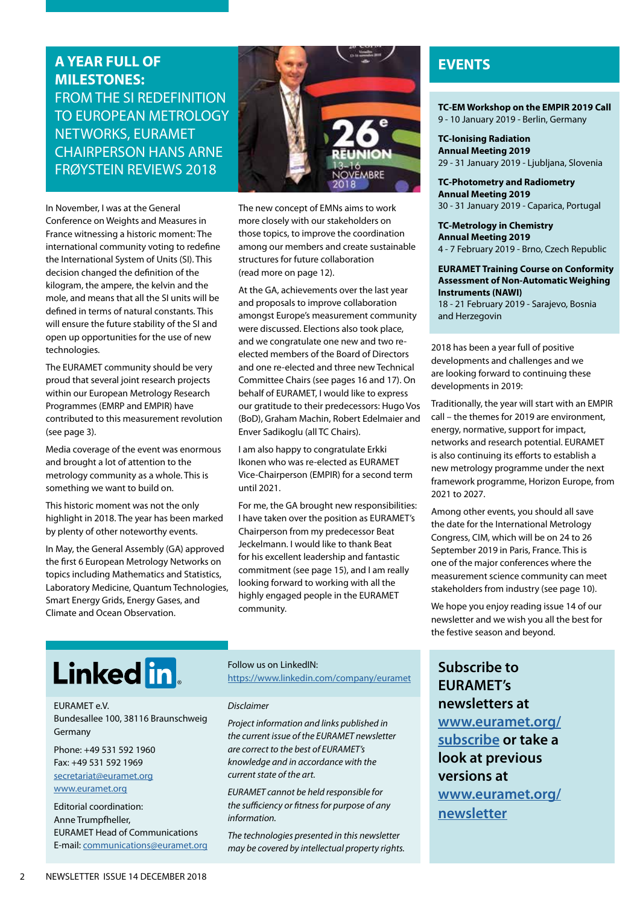# **A YEAR FULL OF MILESTONES:**  FROM THE SI REDEFINITION TO EUROPEAN METROLOGY NETWORKS, EURAMET CHAIRPERSON HANS ARNE FRØYSTEIN REVIEWS 2018

In November, I was at the General Conference on Weights and Measures in France witnessing a historic moment: The international community voting to redefine the International System of Units (SI). This decision changed the definition of the kilogram, the ampere, the kelvin and the mole, and means that all the SI units will be defined in terms of natural constants. This will ensure the future stability of the SI and open up opportunities for the use of new technologies.

The EURAMET community should be very proud that several joint research projects within our European Metrology Research Programmes (EMRP and EMPIR) have contributed to this measurement revolution (see page 3).

Media coverage of the event was enormous and brought a lot of attention to the metrology community as a whole. This is something we want to build on.

This historic moment was not the only highlight in 2018. The year has been marked by plenty of other noteworthy events.

In May, the General Assembly (GA) approved the first 6 European Metrology Networks on topics including Mathematics and Statistics, Laboratory Medicine, Quantum Technologies, Smart Energy Grids, Energy Gases, and Climate and Ocean Observation.



The new concept of EMNs aims to work more closely with our stakeholders on those topics, to improve the coordination among our members and create sustainable structures for future collaboration (read more on page 12).

At the GA, achievements over the last year and proposals to improve collaboration amongst Europe's measurement community were discussed. Elections also took place, and we congratulate one new and two reelected members of the Board of Directors and one re-elected and three new Technical Committee Chairs (see pages 16 and 17). On behalf of EURAMET, I would like to express our gratitude to their predecessors: Hugo Vos (BoD), Graham Machin, Robert Edelmaier and Enver Sadikoglu (all TC Chairs).

I am also happy to congratulate Erkki Ikonen who was re-elected as EURAMET Vice-Chairperson (EMPIR) for a second term until 2021.

For me, the GA brought new responsibilities: I have taken over the position as EURAMET's Chairperson from my predecessor Beat Jeckelmann. I would like to thank Beat for his excellent leadership and fantastic commitment (see page 15), and I am really looking forward to working with all the highly engaged people in the EURAMET community.

# **EVENTS**

**TC-EM Workshop on the EMPIR 2019 Call**  9 - 10 January 2019 - Berlin, Germany

**TC-Ionising Radiation Annual Meeting 2019** 29 - 31 January 2019 - Ljubljana, Slovenia

### **TC-Photometry and Radiometry Annual Meeting 2019**

30 - 31 January 2019 - Caparica, Portugal

### **TC-Metrology in Chemistry Annual Meeting 2019** 4 - 7 February 2019 - Brno, Czech Republic

### **EURAMET Training Course on Conformity Assessment of Non-Automatic Weighing Instruments (NAWI)**

18 - 21 February 2019 - Sarajevo, Bosnia and Herzegovin

2018 has been a year full of positive developments and challenges and we are looking forward to continuing these developments in 2019:

Traditionally, the year will start with an EMPIR call – the themes for 2019 are environment, energy, normative, support for impact, networks and research potential. EURAMET is also continuing its efforts to establish a new metrology programme under the next framework programme, Horizon Europe, from 2021 to 2027.

Among other events, you should all save the date for the International Metrology Congress, CIM, which will be on 24 to 26 September 2019 in Paris, France. This is one of the major conferences where the measurement science community can meet stakeholders from industry (see page 10).

We hope you enjoy reading issue 14 of our newsletter and we wish you all the best for the festive season and beyond.

# Linked in

### EURAMET e.V.

Bundesallee 100, 38116 Braunschweig Germany

Phone: +49 531 592 1960 Fax: +49 531 592 1969 [secretariat@euramet.org](mailto:secretariat%40euramet.org?subject=) [www.euramet.org](http://www.euramet.org)

Editorial coordination: Anne Trumpfheller, EURAMET Head of Communications E-mail: [communications@euramet.org](mailto:communications%40euramet.org?subject=)

### Follow us on LinkedIN:

https://[www.linkedin.com/company/euramet](http://www.linkedin.com/company/euramet)

### *Disclaimer*

*Project information and links published in the current issue of the EURAMET newsletter are correct to the best of EURAMET's knowledge and in accordance with the current state of the art.* 

*EURAMET cannot be held responsible for the sufficiency or fitness for purpose of any information.*

*The technologies presented in this newsletter may be covered by intellectual property rights.* **Subscribe to EURAMET's newsletters at [www.euramet.org/](http://www.euramet.org/subscribe) subscribe or take a look at previous versions at [www.euramet.org/](https://www.euramet.org/publications-media-centre/euramet-newsletter/) [newsletter](https://www.euramet.org/publications-media-centre/euramet-newsletter/)**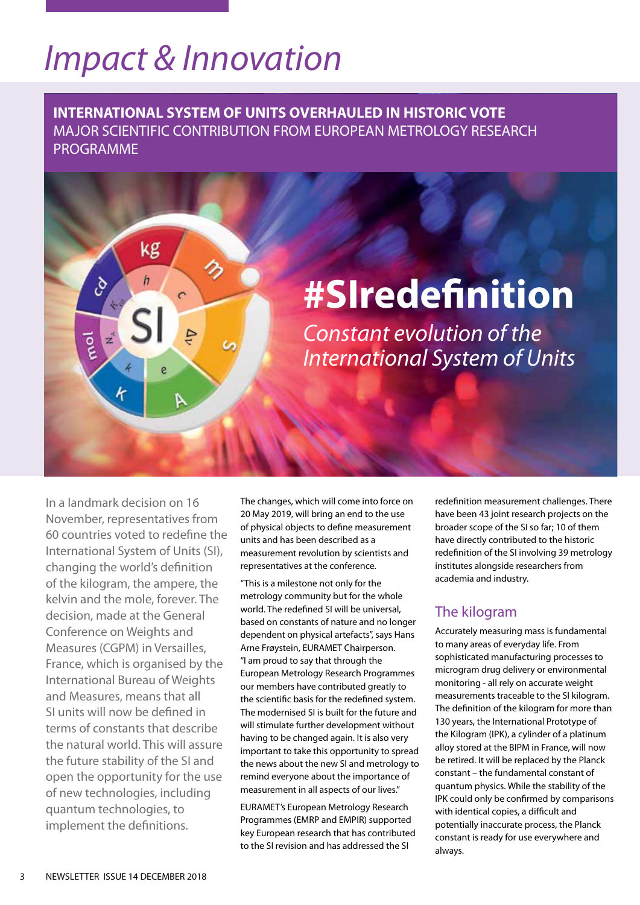# *Impact & Innovation*

kg

h

ه,

**INTERNATIONAL SYSTEM OF UNITS OVERHAULED IN HISTORIC VOTE** MAJOR SCIENTIFIC CONTRIBUTION FROM EUROPEAN METROLOGY RESEARCH PROGRAMME

# **#SIredefinition**

*Constant evolution of the International System of Units*

In a landmark decision on 16 November, representatives from 60 countries voted to redefine the International System of Units (SI), changing the world's definition of the kilogram, the ampere, the kelvin and the mole, forever. The decision, made at the General Conference on Weights and Measures (CGPM) in Versailles, France, which is organised by the International Bureau of Weights and Measures, means that all SI units will now be defined in terms of constants that describe the natural world. This will assure the future stability of the SI and open the opportunity for the use of new technologies, including quantum technologies, to implement the definitions.

The changes, which will come into force on 20 May 2019, will bring an end to the use of physical objects to define measurement units and has been described as a measurement revolution by scientists and representatives at the conference.

"This is a milestone not only for the metrology community but for the whole world. The redefined SI will be universal, based on constants of nature and no longer dependent on physical artefacts", says Hans Arne Frøystein, EURAMET Chairperson. "I am proud to say that through the European Metrology Research Programmes our members have contributed greatly to the scientific basis for the redefined system. The modernised SI is built for the future and will stimulate further development without having to be changed again. It is also very important to take this opportunity to spread the news about the new SI and metrology to remind everyone about the importance of measurement in all aspects of our lives."

EURAMET's European Metrology Research Programmes (EMRP and EMPIR) supported key European research that has contributed to the SI revision and has addressed the SI

redefinition measurement challenges. There have been 43 joint research projects on the broader scope of the SI so far; 10 of them have directly contributed to the historic redefinition of the SI involving 39 metrology institutes alongside researchers from academia and industry.

# The kilogram

Accurately measuring mass is fundamental to many areas of everyday life. From sophisticated manufacturing processes to microgram drug delivery or environmental monitoring - all rely on accurate weight measurements traceable to the SI kilogram. The definition of the kilogram for more than 130 years, the International Prototype of the Kilogram (IPK), a cylinder of a platinum alloy stored at the BIPM in France, will now be retired. It will be replaced by the Planck constant – the fundamental constant of quantum physics. While the stability of the IPK could only be confirmed by comparisons with identical copies, a difficult and potentially inaccurate process, the Planck constant is ready for use everywhere and always.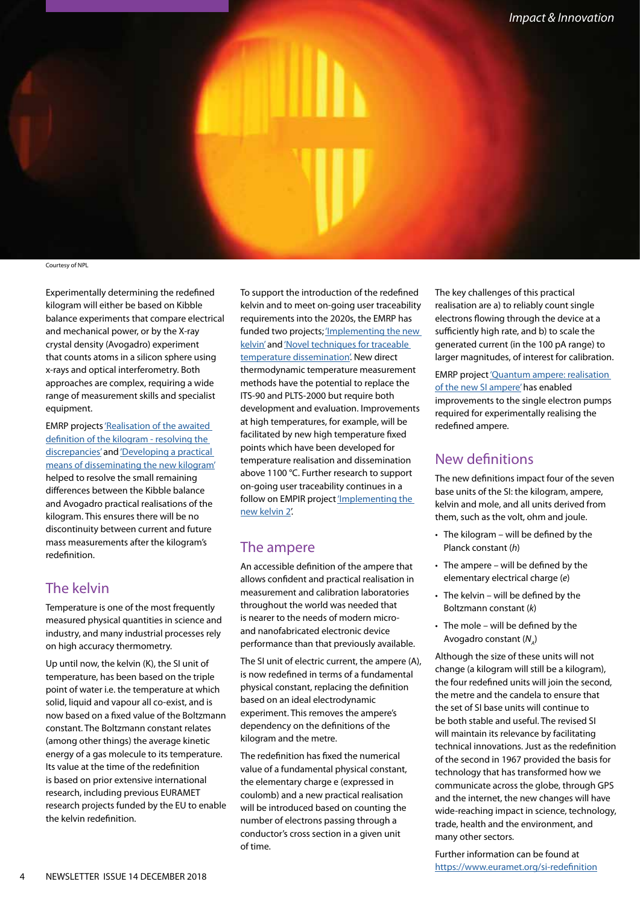

Courtesy of NPL

Experimentally determining the redefined kilogram will either be based on Kibble balance experiments that compare electrical and mechanical power, or by the X-ray crystal density (Avogadro) experiment that counts atoms in a silicon sphere using x-rays and optical interferometry. Both approaches are complex, requiring a wide range of measurement skills and specialist equipment.

EMRP projects ['Realisation of the awaited](https://www.euramet.org/research-innovation/search-research-projects/details/?eurametCtcp_project_show%5bproject%5d=1140)  definition of the kilogram - resolving the [discrepancies'](https://www.euramet.org/research-innovation/search-research-projects/details/?eurametCtcp_project_show%5bproject%5d=1140) and ['Developing a practical](https://www.euramet.org/research-innovation/search-research-projects/details/?eurametCtcp_project_show%5bproject%5d=1142)  [means of disseminating the new kilogram'](https://www.euramet.org/research-innovation/search-research-projects/details/?eurametCtcp_project_show%5bproject%5d=1142) helped to resolve the small remaining differences between the Kibble balance and Avogadro practical realisations of the kilogram. This ensures there will be no discontinuity between current and future mass measurements after the kilogram's redefinition.

### The kelvin

Temperature is one of the most frequently measured physical quantities in science and industry, and many industrial processes rely on high accuracy thermometry.

Up until now, the kelvin (K), the SI unit of temperature, has been based on the triple point of water i.e. the temperature at which solid, liquid and vapour all co-exist, and is now based on a fixed value of the Boltzmann constant. The Boltzmann constant relates (among other things) the average kinetic energy of a gas molecule to its temperature. Its value at the time of the redefinition is based on prior extensive international research, including previous EURAMET research projects funded by the EU to enable the kelvin redefinition.

To support the introduction of the redefined kelvin and to meet on-going user traceability requirements into the 2020s, the EMRP has funded two projects; 'Implementing the new [kelvin'](https://www.euramet.org/research-innovation/search-research-projects/details/?eurametCtcp_project_show%5bproject%5d=1138) and 'Novel techniques for traceable [temperature dissemination'.](https://www.euramet.org/research-innovation/search-research-projects/details/?eurametCtcp_project_show%5bproject%5d=1147) New direct thermodynamic temperature measurement methods have the potential to replace the ITS-90 and PLTS-2000 but require both development and evaluation. Improvements at high temperatures, for example, will be facilitated by new high temperature fixed points which have been developed for temperature realisation and dissemination above 1100 °C. Further research to support on-going user traceability continues in a follow on EMPIR project ['Implementing the](https://www.euramet.org/research-innovation/search-research-projects/details/?eurametCtcp_project_show%5bproject%5d=1434)  [new kelvin 2'](https://www.euramet.org/research-innovation/search-research-projects/details/?eurametCtcp_project_show%5bproject%5d=1434).

### The ampere

An accessible definition of the ampere that allows confident and practical realisation in measurement and calibration laboratories throughout the world was needed that is nearer to the needs of modern microand nanofabricated electronic device performance than that previously available.

The SI unit of electric current, the ampere (A), is now redefined in terms of a fundamental physical constant, replacing the definition based on an ideal electrodynamic experiment. This removes the ampere's dependency on the definitions of the kilogram and the metre.

The redefinition has fixed the numerical value of a fundamental physical constant, the elementary charge e (expressed in coulomb) and a new practical realisation will be introduced based on counting the number of electrons passing through a conductor's cross section in a given unit of time.

The key challenges of this practical realisation are a) to reliably count single electrons flowing through the device at a sufficiently high rate, and b) to scale the generated current (in the 100 pA range) to larger magnitudes, of interest for calibration.

EMRP project ['Quantum ampere: realisation](https://www.euramet.org/research-innovation/search-research-projects/details/?eurametCtcp_project_show%5bproject%5d=1144)  [of the new SI ampere'](https://www.euramet.org/research-innovation/search-research-projects/details/?eurametCtcp_project_show%5bproject%5d=1144) has enabled improvements to the single electron pumps required for experimentally realising the redefined ampere.

## New definitions

The new definitions impact four of the seven base units of the SI: the kilogram, ampere, kelvin and mole, and all units derived from them, such as the volt, ohm and joule.

- The kilogram will be defined by the Planck constant (*h*)
- The ampere will be defined by the elementary electrical charge (*e*)
- The kelvin will be defined by the Boltzmann constant (*k*)
- The mole will be defined by the Avogadro constant (N<sub>A</sub>)

Although the size of these units will not change (a kilogram will still be a kilogram), the four redefined units will join the second, the metre and the candela to ensure that the set of SI base units will continue to be both stable and useful. The revised SI will maintain its relevance by facilitating technical innovations. Just as the redefinition of the second in 1967 provided the basis for technology that has transformed how we communicate across the globe, through GPS and the internet, the new changes will have wide-reaching impact in science, technology, trade, health and the environment, and many other sectors.

Further information can be found a[t]( https://www.euramet.org/si-redefinition ) <https://www.euramet.org/si-redefinition>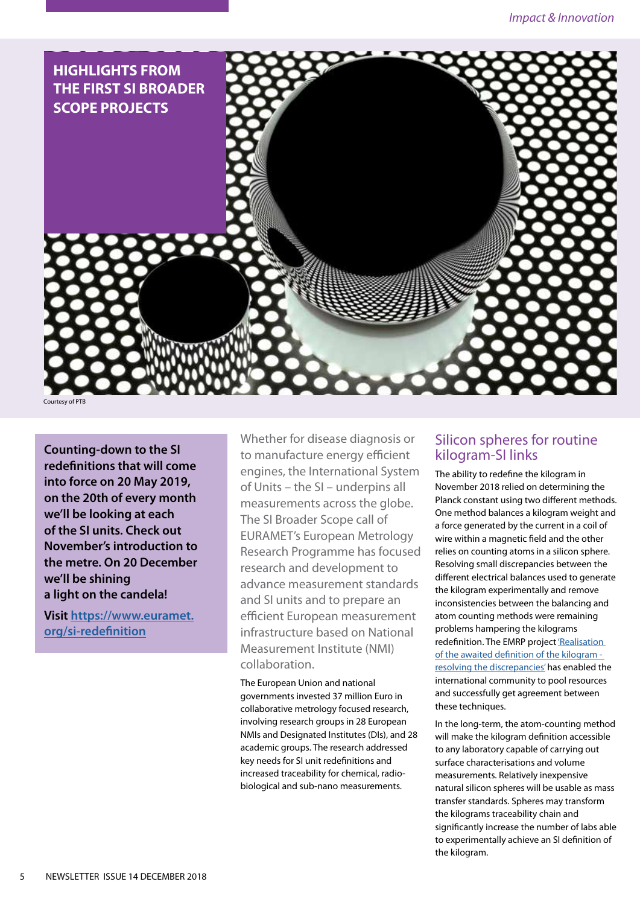

**Counting-down to the SI redefinitions that will come into force on 20 May 2019, on the 20th of every month we'll be looking at each of the SI units. Check out November's introduction to the metre. On 20 December we'll be shining a light on the candela!** 

**Visit [https://www.euramet.](https://www.euramet.org/si-redefinition) [org/si-redefinition](https://www.euramet.org/si-redefinition)**

Whether for disease diagnosis or to manufacture energy efficient engines, the International System of Units – the SI – underpins all measurements across the globe. The SI Broader Scope call of EURAMET's European Metrology Research Programme has focused research and development to advance measurement standards and SI units and to prepare an efficient European measurement infrastructure based on National Measurement Institute (NMI) collaboration.

The European Union and national governments invested 37 million Euro in collaborative metrology focused research, involving research groups in 28 European NMIs and Designated Institutes (DIs), and 28 academic groups. The research addressed key needs for SI unit redefinitions and increased traceability for chemical, radiobiological and sub-nano measurements.

### Silicon spheres for routine kilogram-SI links

The ability to redefine the kilogram in November 2018 relied on determining the Planck constant using two different methods. One method balances a kilogram weight and a force generated by the current in a coil of wire within a magnetic field and the other relies on counting atoms in a silicon sphere. Resolving small discrepancies between the different electrical balances used to generate the kilogram experimentally and remove inconsistencies between the balancing and atom counting methods were remaining problems hampering the kilograms redefinition. The EMRP project ['Realisation](https://www.euramet.org/research-innovation/search-research-projects/details/?eurametCtcp_project_show%5Bproject%5D=1140)  [of the awaited definition of the kilogram](https://www.euramet.org/research-innovation/search-research-projects/details/?eurametCtcp_project_show%5Bproject%5D=1140)  [resolving the discrepancies'](https://www.euramet.org/research-innovation/search-research-projects/details/?eurametCtcp_project_show%5Bproject%5D=1140) has enabled the international community to pool resources and successfully get agreement between these techniques.

In the long-term, the atom-counting method will make the kilogram definition accessible to any laboratory capable of carrying out surface characterisations and volume measurements. Relatively inexpensive natural silicon spheres will be usable as mass transfer standards. Spheres may transform the kilograms traceability chain and significantly increase the number of labs able to experimentally achieve an SI definition of the kilogram.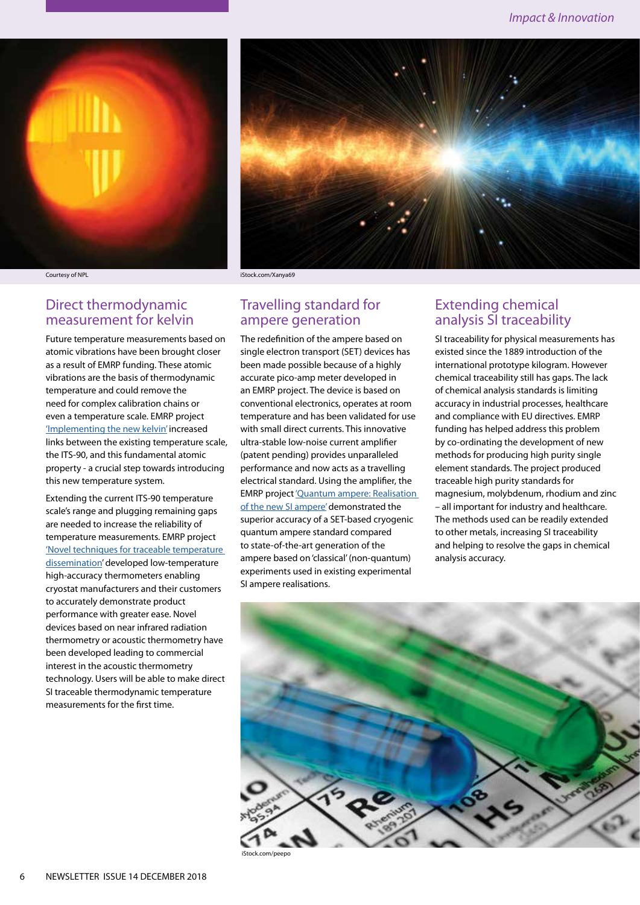



### Direct thermodynamic measurement for kelvin

Future temperature measurements based on atomic vibrations have been brought closer as a result of EMRP funding. These atomic vibrations are the basis of thermodynamic temperature and could remove the need for complex calibration chains or even a temperature scale. EMRP project ['Implementing the new kelvin'](https://www.euramet.org/research-innovation/search-research-projects/details/?eurametCtcp_project_show%5Bproject%5D=1138) increased links between the existing temperature scale, the ITS-90, and this fundamental atomic property - a crucial step towards introducing this new temperature system.

Extending the current ITS-90 temperature scale's range and plugging remaining gaps are needed to increase the reliability of temperature measurements. EMRP project ['Novel techniques for traceable temperature](https://www.euramet.org/research-innovation/search-research-projects/details/?eurametCtcp_project_show%5Bproject%5D=1147)  [dissemination'](https://www.euramet.org/research-innovation/search-research-projects/details/?eurametCtcp_project_show%5Bproject%5D=1147) developed low-temperature high-accuracy thermometers enabling cryostat manufacturers and their customers to accurately demonstrate product performance with greater ease. Novel devices based on near infrared radiation thermometry or acoustic thermometry have been developed leading to commercial interest in the acoustic thermometry technology. Users will be able to make direct SI traceable thermodynamic temperature measurements for the first time.

### Courtesy of NPL iStock.com/Xanya69

### Travelling standard for ampere generation

The redefinition of the ampere based on single electron transport (SET) devices has been made possible because of a highly accurate pico-amp meter developed in an EMRP project. The device is based on conventional electronics, operates at room temperature and has been validated for use with small direct currents. This innovative ultra-stable low-noise current amplifier (patent pending) provides unparalleled performance and now acts as a travelling electrical standard. Using the amplifier, the EMRP project ['Quantum ampere: Realisation](https://www.euramet.org/research-innovation/search-research-projects/details/?eurametCtcp_project_show%5Bproject%5D=1144)  [of the new SI ampere'](https://www.euramet.org/research-innovation/search-research-projects/details/?eurametCtcp_project_show%5Bproject%5D=1144) demonstrated the superior accuracy of a SET-based cryogenic quantum ampere standard compared to state-of-the-art generation of the ampere based on 'classical' (non-quantum) experiments used in existing experimental SI ampere realisations.

### Extending chemical analysis SI traceability

SI traceability for physical measurements has existed since the 1889 introduction of the international prototype kilogram. However chemical traceability still has gaps. The lack of chemical analysis standards is limiting accuracy in industrial processes, healthcare and compliance with EU directives. EMRP funding has helped address this problem by co-ordinating the development of new methods for producing high purity single element standards. The project produced traceable high purity standards for magnesium, molybdenum, rhodium and zinc – all important for industry and healthcare. The methods used can be readily extended to other metals, increasing SI traceability and helping to resolve the gaps in chemical analysis accuracy.



iStock.com/peepo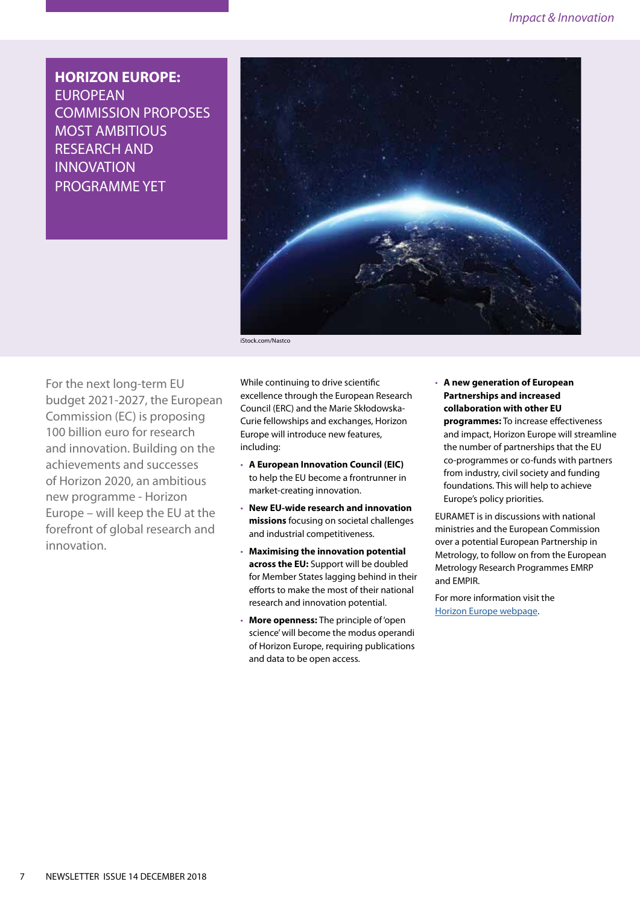**HORIZON EUROPE:**  EUROPEAN COMMISSION PROPOSES MOST AMBITIOUS RESEARCH AND INNOVATION PROGRAMME YET



iStock.com/Nastco

For the next long-term EU budget 2021-2027, the European Commission (EC) is proposing 100 billion euro for research and innovation. Building on the achievements and successes of Horizon 2020, an ambitious new programme - Horizon Europe – will keep the EU at the forefront of global research and innovation.

While continuing to drive scientific excellence through the European Research Council (ERC) and the Marie Skłodowska-Curie fellowships and exchanges, Horizon Europe will introduce new features, including:

- **A European Innovation Council (EIC)**  to help the EU become a frontrunner in market-creating innovation.
- **New EU-wide research and innovation missions** focusing on societal challenges and industrial competitiveness.
- **Maximising the innovation potential across the EU:** Support will be doubled for Member States lagging behind in their efforts to make the most of their national research and innovation potential.
- **More openness:** The principle of 'open science' will become the modus operandi of Horizon Europe, requiring publications and data to be open access.

• **A new generation of European Partnerships and increased collaboration with other EU programmes:** To increase effectiveness and impact, Horizon Europe will streamline the number of partnerships that the EU co-programmes or co-funds with partners from industry, civil society and funding foundations. This will help to achieve Europe's policy priorities.

EURAMET is in discussions with national ministries and the European Commission over a potential European Partnership in Metrology, to follow on from the European Metrology Research Programmes EMRP and EMPIR.

For more information visit the [Horizon Europe webpage](https://ec.europa.eu/info/designing-next-research-and-innovation-framework-programme/what-shapes-next-framework-programme_en).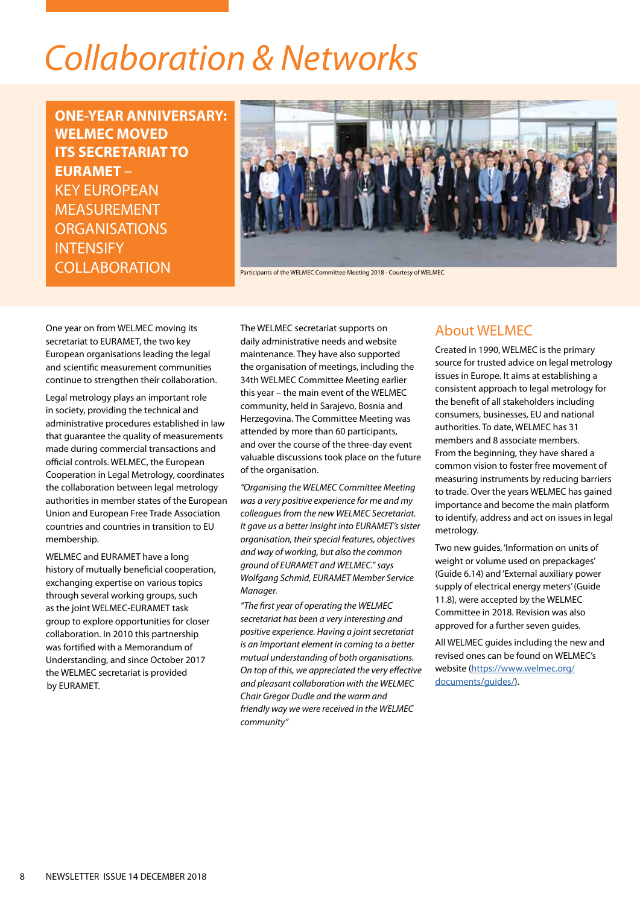# *Collaboration & Networks*

**ONE-YEAR ANNIVERSARY: WELMEC MOVED ITS SECRETARIAT TO EURAMET** – KEY EUROPEAN MEASUREMENT ORGANISATIONS **INTENSIFY COLLABORATION** 



Participants of the WELMEC Committee Meeting 2018 - Courtesy of WELMEC

One year on from WELMEC moving its secretariat to EURAMET, the two key European organisations leading the legal and scientific measurement communities continue to strengthen their collaboration.

Legal metrology plays an important role in society, providing the technical and administrative procedures established in law that guarantee the quality of measurements made during commercial transactions and official controls. WELMEC, the European Cooperation in Legal Metrology, coordinates the collaboration between legal metrology authorities in member states of the European Union and European Free Trade Association countries and countries in transition to EU membership.

WELMEC and EURAMET have a long history of mutually beneficial cooperation, exchanging expertise on various topics through several working groups, such as the joint WELMEC-EURAMET task group to explore opportunities for closer collaboration. In 2010 this partnership was fortified with a Memorandum of Understanding, and since October 2017 the WELMEC secretariat is provided by EURAMET.

The WELMEC secretariat supports on daily administrative needs and website maintenance. They have also supported the organisation of meetings, including the 34th WELMEC Committee Meeting earlier this year – the main event of the WELMEC community, held in Sarajevo, Bosnia and Herzegovina. The Committee Meeting was attended by more than 60 participants, and over the course of the three-day event valuable discussions took place on the future of the organisation.

*"Organising the WELMEC Committee Meeting was a very positive experience for me and my colleagues from the new WELMEC Secretariat. It gave us a better insight into EURAMET's sister organisation, their special features, objectives and way of working, but also the common ground of EURAMET and WELMEC." says Wolfgang Schmid, EURAMET Member Service Manager.*

*"The first year of operating the WELMEC secretariat has been a very interesting and positive experience. Having a joint secretariat is an important element in coming to a better mutual understanding of both organisations. On top of this, we appreciated the very effective and pleasant collaboration with the WELMEC Chair Gregor Dudle and the warm and friendly way we were received in the WELMEC community"* 

### About WELMEC

Created in 1990, WELMEC is the primary source for trusted advice on legal metrology issues in Europe. It aims at establishing a consistent approach to legal metrology for the benefit of all stakeholders including consumers, businesses, EU and national authorities. To date, WELMEC has 31 members and 8 associate members. From the beginning, they have shared a common vision to foster free movement of measuring instruments by reducing barriers to trade. Over the years WELMEC has gained importance and become the main platform to identify, address and act on issues in legal metrology.

Two new guides, 'Information on units of weight or volume used on prepackages' (Guide 6.14) and 'External auxiliary power supply of electrical energy meters' (Guide 11.8), were accepted by the WELMEC Committee in 2018. Revision was also approved for a further seven guides.

All WELMEC guides including the new and revised ones can be found on WELMEC's website ([https://www.welmec.org/](https://www.welmec.org/1/latest/guides/) [documents/guides/\)](https://www.welmec.org/1/latest/guides/).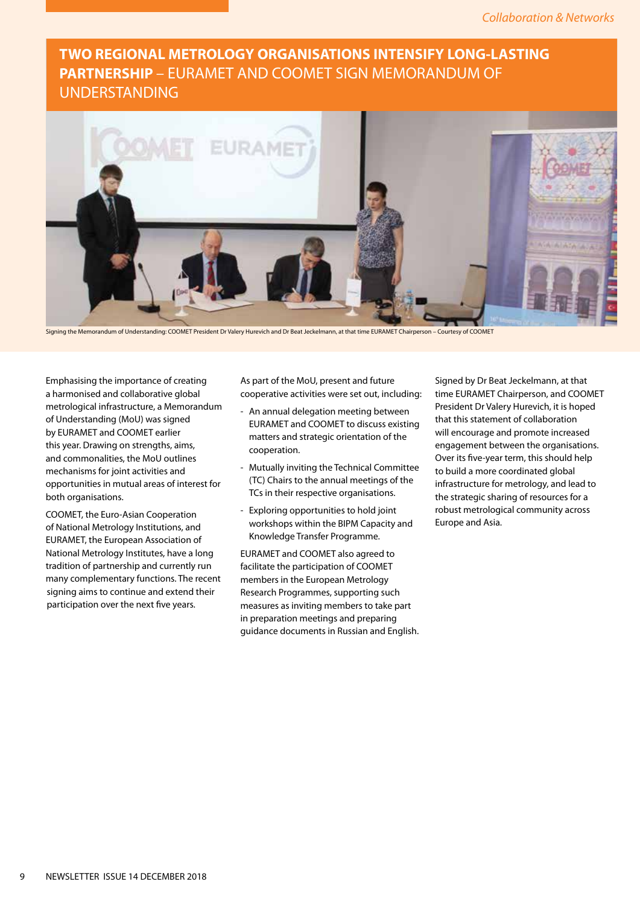# **TWO REGIONAL METROLOGY ORGANISATIONS INTENSIFY LONG-LASTING PARTNERSHIP** – EURAMET AND COOMET SIGN MEMORANDUM OF UNDERSTANDING



Signing the Memorandum of Understanding: COOMET President Dr Valery Hurevich and Dr Beat Jeckelmann, at that time EURAMET Chairperson – Courtesy of COOMET

Emphasising the importance of creating a harmonised and collaborative global metrological infrastructure, a Memorandum of Understanding (MoU) was signed by EURAMET and COOMET earlier this year. Drawing on strengths, aims, and commonalities, the MoU outlines mechanisms for joint activities and opportunities in mutual areas of interest for both organisations.

COOMET, the Euro-Asian Cooperation of National Metrology Institutions, and EURAMET, the European Association of National Metrology Institutes, have a long tradition of partnership and currently run many complementary functions. The recent signing aims to continue and extend their participation over the next five years.

As part of the MoU, present and future cooperative activities were set out, including:

- An annual delegation meeting between EURAMET and COOMET to discuss existing matters and strategic orientation of the cooperation.
- Mutually inviting the Technical Committee (TC) Chairs to the annual meetings of the TCs in their respective organisations.
- Exploring opportunities to hold joint workshops within the BIPM Capacity and Knowledge Transfer Programme.

EURAMET and COOMET also agreed to facilitate the participation of COOMET members in the European Metrology Research Programmes, supporting such measures as inviting members to take part in preparation meetings and preparing guidance documents in Russian and English. Signed by Dr Beat Jeckelmann, at that time EURAMET Chairperson, and COOMET President Dr Valery Hurevich, it is hoped that this statement of collaboration will encourage and promote increased engagement between the organisations. Over its five-year term, this should help to build a more coordinated global infrastructure for metrology, and lead to the strategic sharing of resources for a robust metrological community across Europe and Asia.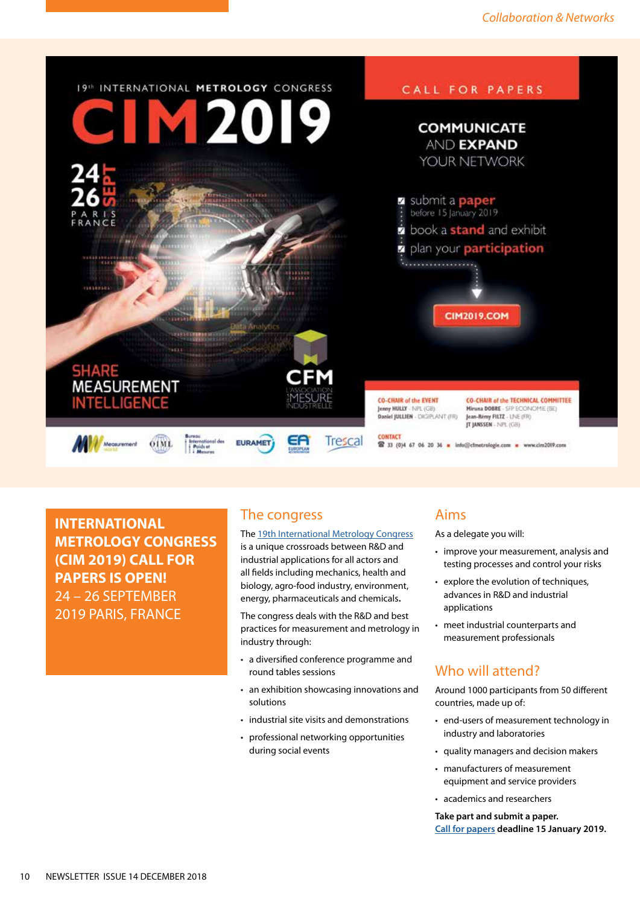

**INTERNATIONAL METROLOGY CONGRESS (CIM 2019) CALL FOR PAPERS IS OPEN!** 24 – 26 SEPTEMBER 2019 PARIS, FRANCE

### The congress

The [19th International Metrology Congress](http://cim2019.com/home.html) is a unique crossroads between R&D and industrial applications for all actors and all fields including mechanics, health and biology, agro-food industry, environment, energy, pharmaceuticals and chemicals.

The congress deals with the R&D and best practices for measurement and metrology in industry through:

- a diversified conference programme and round tables sessions
- an exhibition showcasing innovations and solutions
- industrial site visits and demonstrations
- professional networking opportunities during social events

### Aims

As a delegate you will:

- improve your measurement, analysis and testing processes and control your risks
- explore the evolution of techniques, advances in R&D and industrial applications
- meet industrial counterparts and measurement professionals

## Who will attend?

Around 1000 participants from 50 different countries, made up of:

- end-users of measurement technology in industry and laboratories
- quality managers and decision makers
- manufacturers of measurement equipment and service providers
- academics and researchers

**Take part and submit a paper. [Call for papers](http://cim2019.com/call-for-papers.html) deadline 15 January 2019.**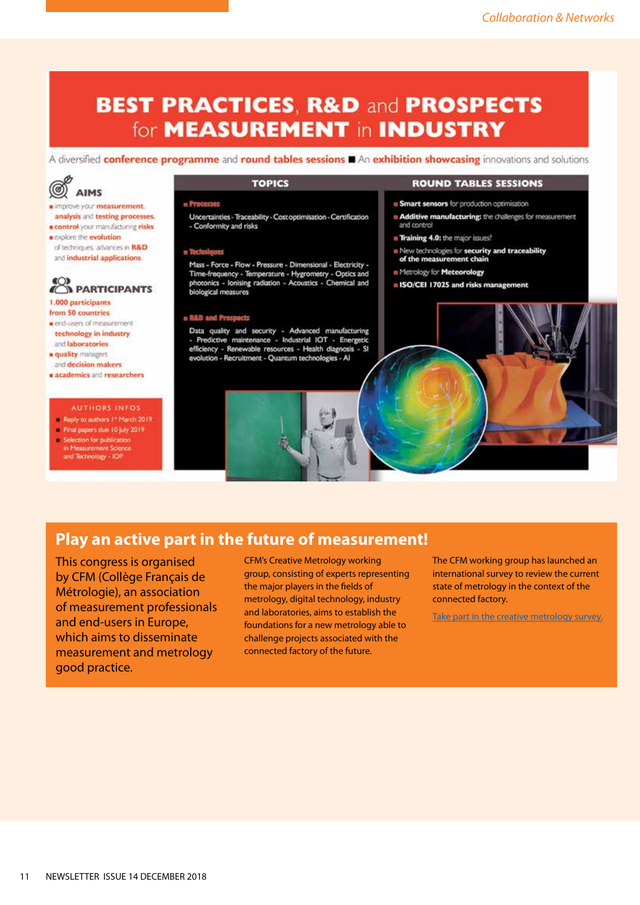# **BEST PRACTICES, R&D and PROSPECTS** for **MEASUREMENT** in **INDUSTRY**

A diversified conference programme and round tables sessions An exhibition showcasing innovations and solutions



- improve your measurement. analysis and testing processes.
- control your manufacturing risks **a** explore the **evolution** of techniques, advances in R&D and industrial applications

# & PARTICIPANTS

1.000 participants from 50 countries

- end-users of measurement technology in industry and laboratories
- a quality managers
- and decision makers a academics and researchers

### **AUTHORS INFOS**

- Reply to authors 1" March 2019 - Final papers due 10 July 2019
- Selection for publication
- in Measurement Science<br>and Technology IOP

### **TOPICS**

### - Processes

Uncertainties - Traceability - Cost optimisation - Certification - Conformity and risks

### a Techniques

Mass - Force - Flow - Pressure - Dimensional - Electricity -Time-frequency - Temperature - Hygrometry - Optics and photonics - lonising radiation - Acoustics - Chemical and biological measures

### **u R&D and Prospects**

Data quality and security - Advanced manufacturing<br>- Predictive maintenance - Industrial IOT - Energetic efficiency - Renewable resources - Health diagnosis - SI evolution - Recruitment - Quantum technologies - Al



### **ROUND TABLES SESSIONS**

**B** Smart sensors for production optimisation

- Additive manufacturing: the challenges for measurement and control
- Training 4.0: the major issues?
- New technologies for security and traceability<br>of the measurement chain
- Metrology for Meteorology
- BISO/CEI 17025 and risks management



## **Play an active part in the future of measurement!**

This congress is organised by CFM (Collège Français de Métrologie), an association of measurement professionals and end-users in Europe, which aims to disseminate measurement and metrology good practice.

CFM's Creative Metrology working group, consisting of experts representing the major players in the fields of metrology, digital technology, industry and laboratories, aims to establish the foundations for a new metrology able to challenge projects associated with the connected factory of the future.

The CFM working group has launched an international survey to review the current state of metrology in the context of the connected factory.

[Take part in the creative metrology survey.](http://5357.mj.am/nl2/5357/lth63.html)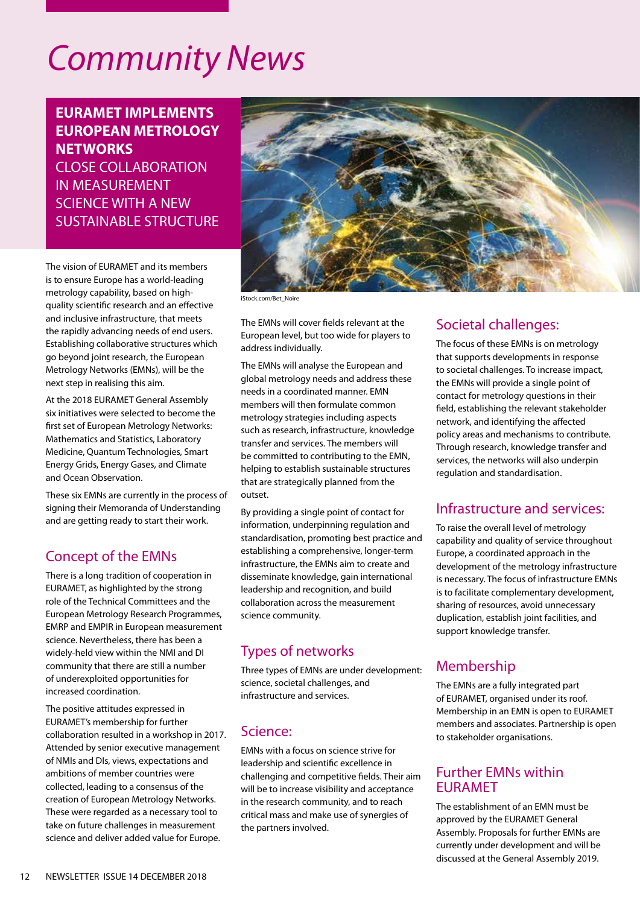# *Community News*

**EURAMET IMPLEMENTS EUROPEAN METROLOGY NETWORKS** CLOSE COLLABORATION IN MEASUREMENT SCIENCE WITH A NEW SUSTAINABLE STRUCTURE

The vision of EURAMET and its members is to ensure Europe has a world-leading metrology capability, based on highquality scientific research and an effective and inclusive infrastructure, that meets the rapidly advancing needs of end users. Establishing collaborative structures which go beyond joint research, the European Metrology Networks (EMNs), will be the next step in realising this aim.

At the 2018 EURAMET General Assembly six initiatives were selected to become the first set of European Metrology Networks: Mathematics and Statistics, Laboratory Medicine, Quantum Technologies, Smart Energy Grids, Energy Gases, and Climate and Ocean Observation.

These six EMNs are currently in the process of signing their Memoranda of Understanding and are getting ready to start their work.

### Concept of the EMNs

There is a long tradition of cooperation in EURAMET, as highlighted by the strong role of the Technical Committees and the European Metrology Research Programmes, EMRP and EMPIR in European measurement science. Nevertheless, there has been a widely-held view within the NMI and DI community that there are still a number of underexploited opportunities for increased coordination.

The positive attitudes expressed in EURAMET's membership for further collaboration resulted in a workshop in 2017. Attended by senior executive management of NMIs and DIs, views, expectations and ambitions of member countries were collected, leading to a consensus of the creation of European Metrology Networks. These were regarded as a necessary tool to take on future challenges in measurement science and deliver added value for Europe.



iStock.com/Bet\_Noire

The EMNs will cover fields relevant at the European level, but too wide for players to address individually.

The EMNs will analyse the European and global metrology needs and address these needs in a coordinated manner. EMN members will then formulate common metrology strategies including aspects such as research, infrastructure, knowledge transfer and services. The members will be committed to contributing to the EMN, helping to establish sustainable structures that are strategically planned from the outset.

By providing a single point of contact for information, underpinning regulation and standardisation, promoting best practice and establishing a comprehensive, longer-term infrastructure, the EMNs aim to create and disseminate knowledge, gain international leadership and recognition, and build collaboration across the measurement science community.

## Types of networks

Three types of EMNs are under development: science, societal challenges, and infrastructure and services.

### Science:

EMNs with a focus on science strive for leadership and scientific excellence in challenging and competitive fields. Their aim will be to increase visibility and acceptance in the research community, and to reach critical mass and make use of synergies of the partners involved.

# Societal challenges:

The focus of these EMNs is on metrology that supports developments in response to societal challenges. To increase impact, the EMNs will provide a single point of contact for metrology questions in their field, establishing the relevant stakeholder network, and identifying the affected policy areas and mechanisms to contribute. Through research, knowledge transfer and services, the networks will also underpin regulation and standardisation.

### Infrastructure and services:

To raise the overall level of metrology capability and quality of service throughout Europe, a coordinated approach in the development of the metrology infrastructure is necessary. The focus of infrastructure EMNs is to facilitate complementary development, sharing of resources, avoid unnecessary duplication, establish joint facilities, and support knowledge transfer.

# Membership

The EMNs are a fully integrated part of EURAMET, organised under its roof. Membership in an EMN is open to EURAMET members and associates. Partnership is open to stakeholder organisations.

### Further EMNs within EURAMET

The establishment of an EMN must be approved by the EURAMET General Assembly. Proposals for further EMNs are currently under development and will be discussed at the General Assembly 2019.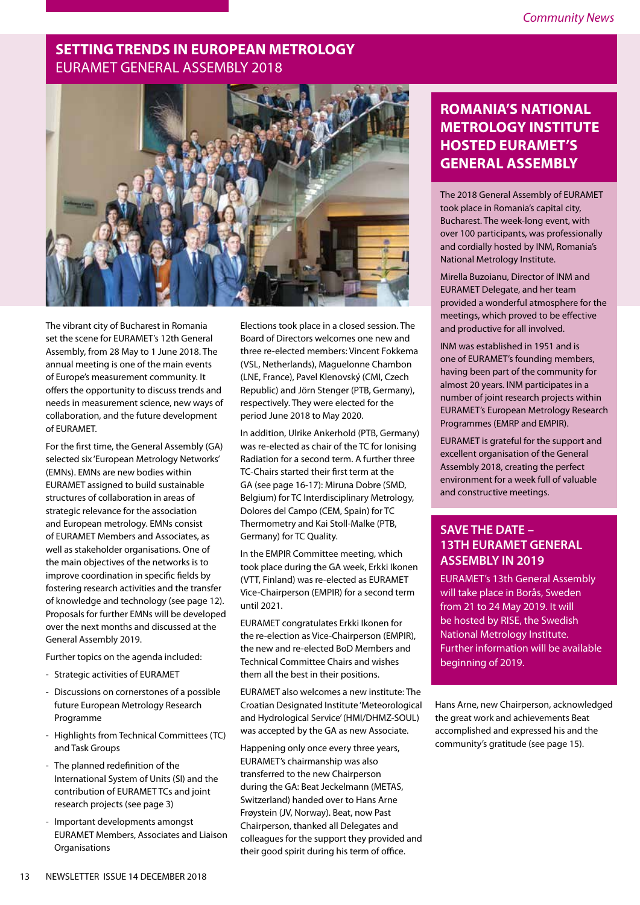### **SETTING TRENDS IN EUROPEAN METROLOGY** EURAMET GENERAL ASSEMBLY 2018



The vibrant city of Bucharest in Romania set the scene for EURAMET's 12th General Assembly, from 28 May to 1 June 2018. The annual meeting is one of the main events of Europe's measurement community. It offers the opportunity to discuss trends and needs in measurement science, new ways of collaboration, and the future development of EURAMET.

For the first time, the General Assembly (GA) selected six 'European Metrology Networks' (EMNs). EMNs are new bodies within EURAMET assigned to build sustainable structures of collaboration in areas of strategic relevance for the association and European metrology. EMNs consist of EURAMET Members and Associates, as well as stakeholder organisations. One of the main objectives of the networks is to improve coordination in specific fields by fostering research activities and the transfer of knowledge and technology (see page 12). Proposals for further EMNs will be developed over the next months and discussed at the General Assembly 2019.

Further topics on the agenda included:

- Strategic activities of EURAMET
- Discussions on cornerstones of a possible future European Metrology Research Programme
- Highlights from Technical Committees (TC) and Task Groups
- The planned redefinition of the International System of Units (SI) and the contribution of EURAMET TCs and joint research projects (see page 3)
- Important developments amongst EURAMET Members, Associates and Liaison **Organisations**

Elections took place in a closed session. The Board of Directors welcomes one new and three re-elected members: Vincent Fokkema (VSL, Netherlands), Maguelonne Chambon (LNE, France), Pavel Klenovský (CMI, Czech Republic) and Jörn Stenger (PTB, Germany), respectively. They were elected for the period June 2018 to May 2020.

In addition, Ulrike Ankerhold (PTB, Germany) was re-elected as chair of the TC for Ionising Radiation for a second term. A further three TC-Chairs started their first term at the GA (see page 16-17): Miruna Dobre (SMD, Belgium) for TC Interdisciplinary Metrology, Dolores del Campo (CEM, Spain) for TC Thermometry and Kai Stoll-Malke (PTB, Germany) for TC Quality.

In the EMPIR Committee meeting, which took place during the GA week, Erkki Ikonen (VTT, Finland) was re-elected as EURAMET Vice-Chairperson (EMPIR) for a second term until 2021.

EURAMET congratulates Erkki Ikonen for the re-election as Vice-Chairperson (EMPIR), the new and re-elected BoD Members and Technical Committee Chairs and wishes them all the best in their positions.

EURAMET also welcomes a new institute: The Croatian Designated Institute 'Meteorological and Hydrological Service' (HMI/DHMZ-SOUL) was accepted by the GA as new Associate.

Happening only once every three years, EURAMET's chairmanship was also transferred to the new Chairperson during the GA: Beat Jeckelmann (METAS, Switzerland) handed over to Hans Arne Frøystein (JV, Norway). Beat, now Past Chairperson, thanked all Delegates and colleagues for the support they provided and their good spirit during his term of office.

# **ROMANIA'S NATIONAL METROLOGY INSTITUTE HOSTED EURAMET'S GENERAL ASSEMBLY**

The 2018 General Assembly of EURAMET took place in Romania's capital city, Bucharest. The week-long event, with over 100 participants, was professionally and cordially hosted by INM, Romania's National Metrology Institute.

Mirella Buzoianu, Director of INM and EURAMET Delegate, and her team provided a wonderful atmosphere for the meetings, which proved to be effective and productive for all involved.

INM was established in 1951 and is one of EURAMET's founding members, having been part of the community for almost 20 years. INM participates in a number of joint research projects within EURAMET's European Metrology Research Programmes (EMRP and EMPIR).

EURAMET is grateful for the support and excellent organisation of the General Assembly 2018, creating the perfect environment for a week full of valuable and constructive meetings.

### **SAVE THE DATE – 13TH EURAMET GENERAL ASSEMBLY IN 2019**

EURAMET's 13th General Assembly will take place in Borås, Sweden from 21 to 24 May 2019. It will be hosted by RISE, the Swedish National Metrology Institute. Further information will be available beginning of 2019.

Hans Arne, new Chairperson, acknowledged the great work and achievements Beat accomplished and expressed his and the community's gratitude (see page 15).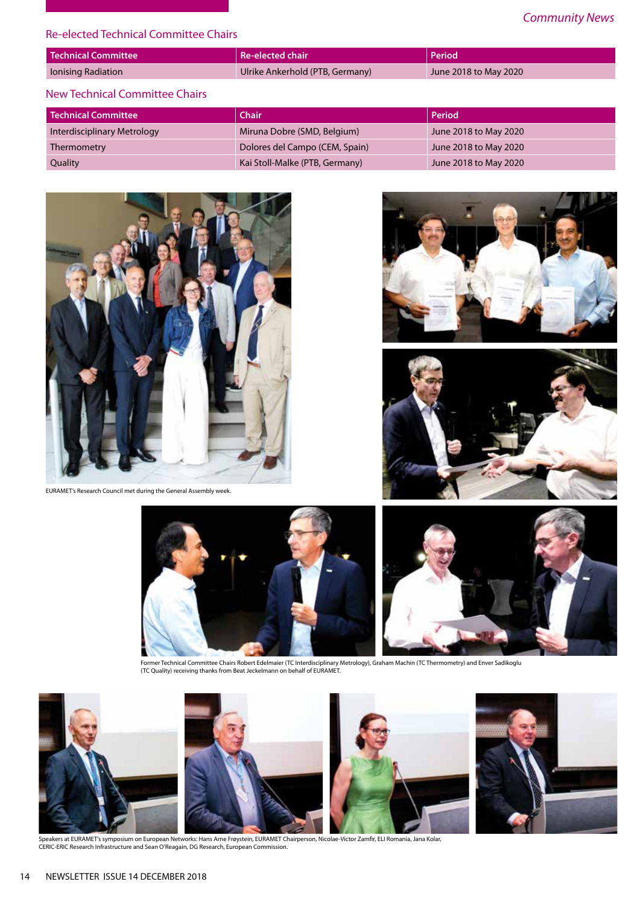### Re-elected Technical Committee Chairs

| <b>Technical Committee</b> | $\blacksquare$ Re-elected chair $\blacksquare$ | Period                |
|----------------------------|------------------------------------------------|-----------------------|
| Ionising Radiation         | Ulrike Ankerhold (PTB, Germany)                | June 2018 to May 2020 |
|                            |                                                |                       |

### New Technical Committee Chairs

| Technical Committee         | <b>Chair</b>                   | Period                |
|-----------------------------|--------------------------------|-----------------------|
| Interdisciplinary Metrology | Miruna Dobre (SMD, Belgium)    | June 2018 to May 2020 |
| Thermometry                 | Dolores del Campo (CEM, Spain) | June 2018 to May 2020 |
| Quality                     | Kai Stoll-Malke (PTB, Germany) | June 2018 to May 2020 |



EURAMET's Research Council met during the General Assembly week.







Former Technical Committee Chairs Robert Edelmaier (TC Interdisciplinary Metrology), Graham Machin (TC Thermometry) and Enver Sadikoglu<br>(TC Quality) receiving thanks from Beat Jeckelmann on behalf of EURAMET.



Speakers at EURAMET's symposium on European Networks: Hans Arne Frøystein, EURAMET Chairperson, Nicolae-Victor Zamfir, ELI Romania, Jana Kolar,<br>CERIC-ERIC Research Infrastructure and Sean O'Reagain, DG Research, European C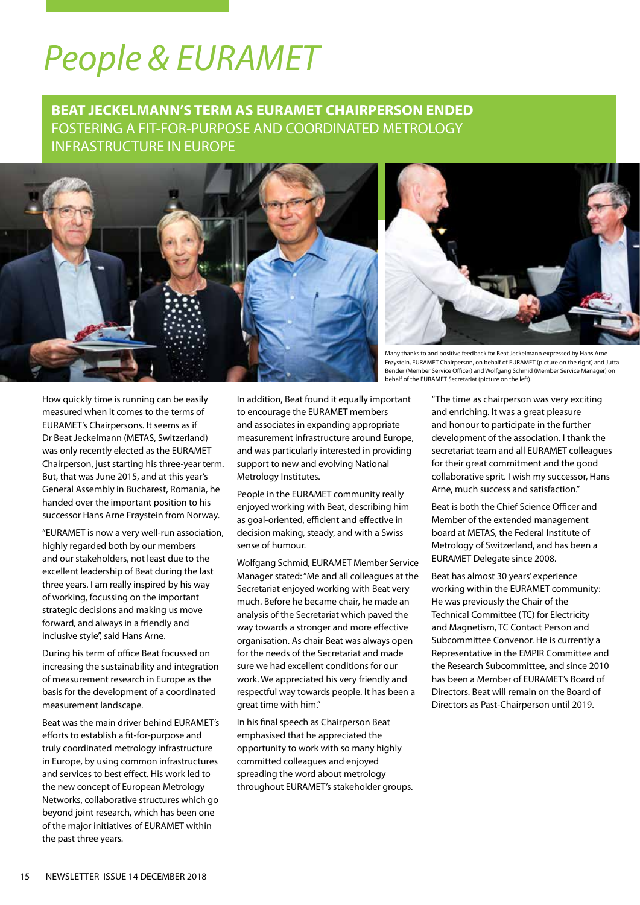# *People & EURAMET*

## **BEAT JECKELMANN'S TERM AS EURAMET CHAIRPERSON ENDED**  FOSTERING A FIT-FOR-PURPOSE AND COORDINATED METROLOGY INFRASTRUCTURE IN EUROPE





Many thanks to and positive feedback for Beat Jeckelmann expressed by Hans Arne Frøystein, EURAMET Chairperson, on behalf of EURAMET (picture on the right) and Jutta Bender (Member Service Officer) and Wolfgang Schmid (Member Service Manager) on behalf of the EURAMET Secretariat (picture on the left).

How quickly time is running can be easily measured when it comes to the terms of EURAMET's Chairpersons. It seems as if Dr Beat Jeckelmann (METAS, Switzerland) was only recently elected as the EURAMET Chairperson, just starting his three-year term. But, that was June 2015, and at this year's General Assembly in Bucharest, Romania, he handed over the important position to his successor Hans Arne Frøystein from Norway.

"EURAMET is now a very well-run association, highly regarded both by our members and our stakeholders, not least due to the excellent leadership of Beat during the last three years. I am really inspired by his way of working, focussing on the important strategic decisions and making us move forward, and always in a friendly and inclusive style", said Hans Arne.

During his term of office Beat focussed on increasing the sustainability and integration of measurement research in Europe as the basis for the development of a coordinated measurement landscape.

Beat was the main driver behind EURAMET's efforts to establish a fit-for-purpose and truly coordinated metrology infrastructure in Europe, by using common infrastructures and services to best effect. His work led to the new concept of European Metrology Networks, collaborative structures which go beyond joint research, which has been one of the major initiatives of EURAMET within the past three years.

In addition, Beat found it equally important to encourage the EURAMET members and associates in expanding appropriate measurement infrastructure around Europe, and was particularly interested in providing support to new and evolving National Metrology Institutes.

People in the EURAMET community really enjoyed working with Beat, describing him as goal-oriented, efficient and effective in decision making, steady, and with a Swiss sense of humour.

Wolfgang Schmid, EURAMET Member Service Manager stated: "Me and all colleagues at the Secretariat enjoyed working with Beat very much. Before he became chair, he made an analysis of the Secretariat which paved the way towards a stronger and more effective organisation. As chair Beat was always open for the needs of the Secretariat and made sure we had excellent conditions for our work. We appreciated his very friendly and respectful way towards people. It has been a great time with him."

In his final speech as Chairperson Beat emphasised that he appreciated the opportunity to work with so many highly committed colleagues and enjoyed spreading the word about metrology throughout EURAMET's stakeholder groups. "The time as chairperson was very exciting and enriching. It was a great pleasure and honour to participate in the further development of the association. I thank the secretariat team and all EURAMET colleagues for their great commitment and the good collaborative sprit. I wish my successor, Hans Arne, much success and satisfaction."

Beat is both the Chief Science Officer and Member of the extended management board at METAS, the Federal Institute of Metrology of Switzerland, and has been a EURAMET Delegate since 2008.

Beat has almost 30 years' experience working within the EURAMET community: He was previously the Chair of the Technical Committee (TC) for Electricity and Magnetism, TC Contact Person and Subcommittee Convenor. He is currently a Representative in the EMPIR Committee and the Research Subcommittee, and since 2010 has been a Member of EURAMET's Board of Directors. Beat will remain on the Board of Directors as Past-Chairperson until 2019.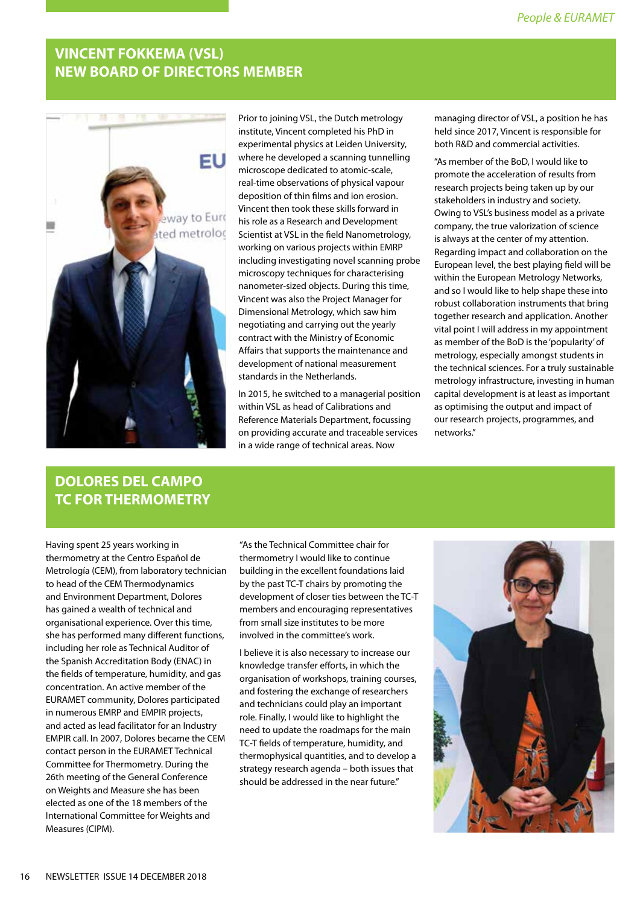## **VINCENT FOKKEMA (VSL) NEW BOARD OF DIRECTORS MEMBER**



Prior to joining VSL, the Dutch metrology institute, Vincent completed his PhD in experimental physics at Leiden University, where he developed a scanning tunnelling microscope dedicated to atomic-scale, real-time observations of physical vapour deposition of thin films and ion erosion. Vincent then took these skills forward in his role as a Research and Development Scientist at VSL in the field Nanometrology, working on various projects within EMRP including investigating novel scanning probe microscopy techniques for characterising nanometer-sized objects. During this time, Vincent was also the Project Manager for Dimensional Metrology, which saw him negotiating and carrying out the yearly contract with the Ministry of Economic Affairs that supports the maintenance and development of national measurement standards in the Netherlands.

In 2015, he switched to a managerial position within VSL as head of Calibrations and Reference Materials Department, focussing on providing accurate and traceable services in a wide range of technical areas. Now

managing director of VSL, a position he has held since 2017, Vincent is responsible for both R&D and commercial activities.

"As member of the BoD, I would like to promote the acceleration of results from research projects being taken up by our stakeholders in industry and society. Owing to VSL's business model as a private company, the true valorization of science is always at the center of my attention. Regarding impact and collaboration on the European level, the best playing field will be within the European Metrology Networks, and so I would like to help shape these into robust collaboration instruments that bring together research and application. Another vital point I will address in my appointment as member of the BoD is the 'popularity' of metrology, especially amongst students in the technical sciences. For a truly sustainable metrology infrastructure, investing in human capital development is at least as important as optimising the output and impact of our research projects, programmes, and networks."

## **DOLORES DEL CAMPO TC FOR THERMOMETRY**

Having spent 25 years working in thermometry at the Centro Español de Metrología (CEM), from laboratory technician to head of the CEM Thermodynamics and Environment Department, Dolores has gained a wealth of technical and organisational experience. Over this time, she has performed many different functions, including her role as Technical Auditor of the Spanish Accreditation Body (ENAC) in the fields of temperature, humidity, and gas concentration. An active member of the EURAMET community, Dolores participated in numerous EMRP and EMPIR projects, and acted as lead facilitator for an Industry EMPIR call. In 2007, Dolores became the CEM contact person in the EURAMET Technical Committee for Thermometry. During the 26th meeting of the General Conference on Weights and Measure she has been elected as one of the 18 members of the International Committee for Weights and Measures (CIPM).

"As the Technical Committee chair for thermometry I would like to continue building in the excellent foundations laid by the past TC-T chairs by promoting the development of closer ties between the TC-T members and encouraging representatives from small size institutes to be more involved in the committee's work.

I believe it is also necessary to increase our knowledge transfer efforts, in which the organisation of workshops, training courses, and fostering the exchange of researchers and technicians could play an important role. Finally, I would like to highlight the need to update the roadmaps for the main TC-T fields of temperature, humidity, and thermophysical quantities, and to develop a strategy research agenda – both issues that should be addressed in the near future."

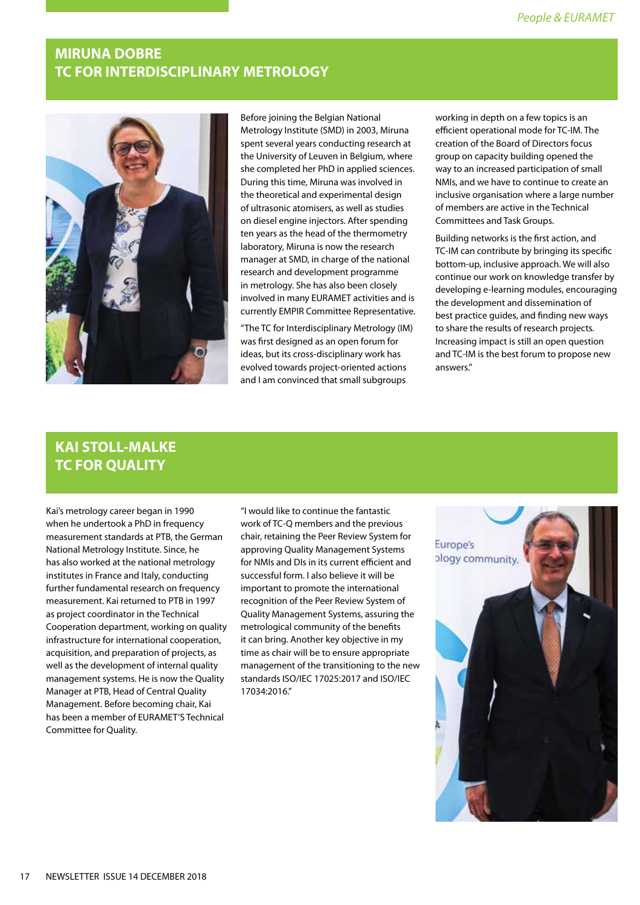## **MIRUNA DOBRE TC FOR INTERDISCIPLINARY METROLOGY**



Before joining the Belgian National Metrology Institute (SMD) in 2003, Miruna spent several years conducting research at the University of Leuven in Belgium, where she completed her PhD in applied sciences. During this time, Miruna was involved in the theoretical and experimental design of ultrasonic atomisers, as well as studies on diesel engine injectors. After spending ten years as the head of the thermometry laboratory, Miruna is now the research manager at SMD, in charge of the national research and development programme in metrology. She has also been closely involved in many EURAMET activities and is currently EMPIR Committee Representative.

"The TC for Interdisciplinary Metrology (IM) was first designed as an open forum for ideas, but its cross-disciplinary work has evolved towards project-oriented actions and I am convinced that small subgroups

working in depth on a few topics is an efficient operational mode for TC-IM. The creation of the Board of Directors focus group on capacity building opened the way to an increased participation of small NMIs, and we have to continue to create an inclusive organisation where a large number of members are active in the Technical Committees and Task Groups.

Building networks is the first action, and TC-IM can contribute by bringing its specific bottom-up, inclusive approach. We will also continue our work on knowledge transfer by developing e-learning modules, encouraging the development and dissemination of best practice guides, and finding new ways to share the results of research projects. Increasing impact is still an open question and TC-IM is the best forum to propose new answers."

## **KAI STOLL-MALKE TC FOR QUALITY**

Kai's metrology career began in 1990 when he undertook a PhD in frequency measurement standards at PTB, the German National Metrology Institute. Since, he has also worked at the national metrology institutes in France and Italy, conducting further fundamental research on frequency measurement. Kai returned to PTB in 1997 as project coordinator in the Technical Cooperation department, working on quality infrastructure for international cooperation, acquisition, and preparation of projects, as well as the development of internal quality management systems. He is now the Quality Manager at PTB, Head of Central Quality Management. Before becoming chair, Kai has been a member of EURAMET'S Technical Committee for Quality.

"I would like to continue the fantastic work of TC-Q members and the previous chair, retaining the Peer Review System for approving Quality Management Systems for NMIs and DIs in its current efficient and successful form. I also believe it will be important to promote the international recognition of the Peer Review System of Quality Management Systems, assuring the metrological community of the benefits it can bring. Another key objective in my time as chair will be to ensure appropriate management of the transitioning to the new standards ISO/IEC 17025:2017 and ISO/IEC 17034:2016."

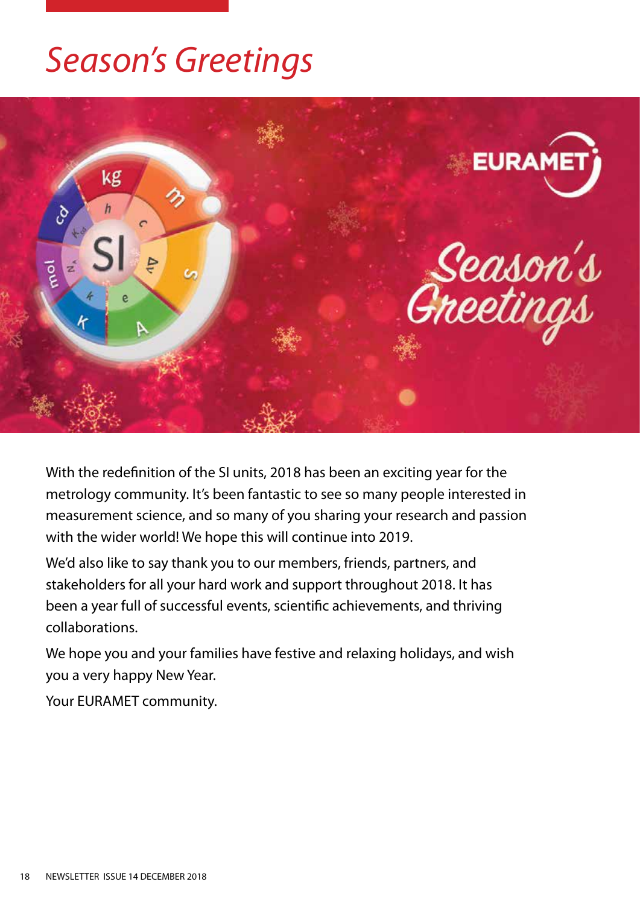# *Season's Greetings*



With the redefinition of the SI units, 2018 has been an exciting year for the metrology community. It's been fantastic to see so many people interested in measurement science, and so many of you sharing your research and passion with the wider world! We hope this will continue into 2019.

We'd also like to say thank you to our members, friends, partners, and stakeholders for all your hard work and support throughout 2018. It has been a year full of successful events, scientific achievements, and thriving collaborations.

We hope you and your families have festive and relaxing holidays, and wish you a very happy New Year.

Your EURAMET community.